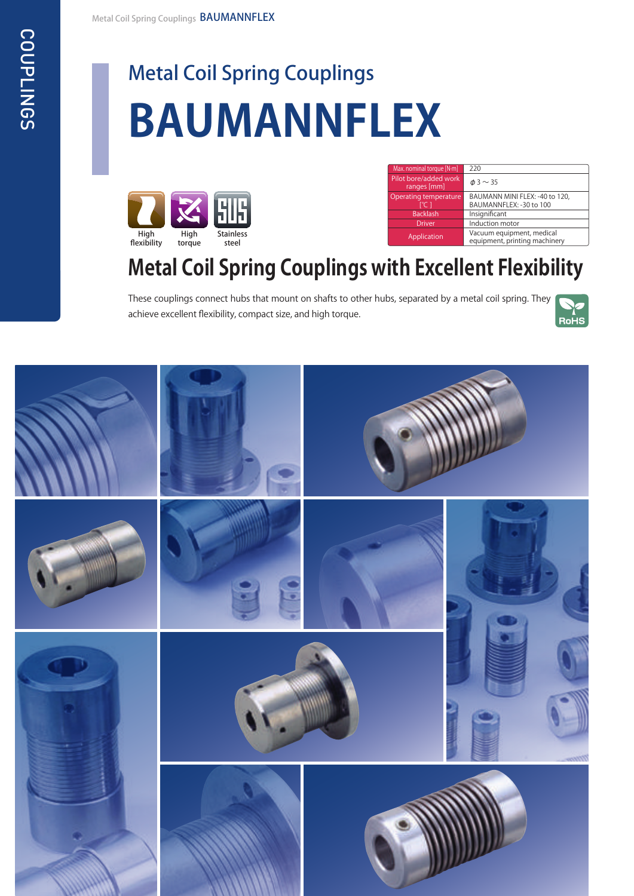# Metal Coil Spring Couplings **BAUMANNFLEX**



| Max. nominal torque [N-m]            | 220                                                        |
|--------------------------------------|------------------------------------------------------------|
| Pilot bore/added work<br>ranges [mm] | $\phi$ 3 $\sim$ 35                                         |
| Operating temperature                | BAUMANN MINI FLEX: -40 to 120,                             |
| r°C 1                                | BAUMANNFLEX: -30 to 100                                    |
| <b>Backlash</b>                      | Insignificant                                              |
| <b>Driver</b>                        | Induction motor                                            |
| Application                          | Vacuum equipment, medical<br>equipment, printing machinery |

# **Metal Coil Spring Couplings with Excellent Flexibility**

These couplings connect hubs that mount on shafts to other hubs, separated by a metal coil spring. They achieve excellent flexibility, compact size, and high torque.



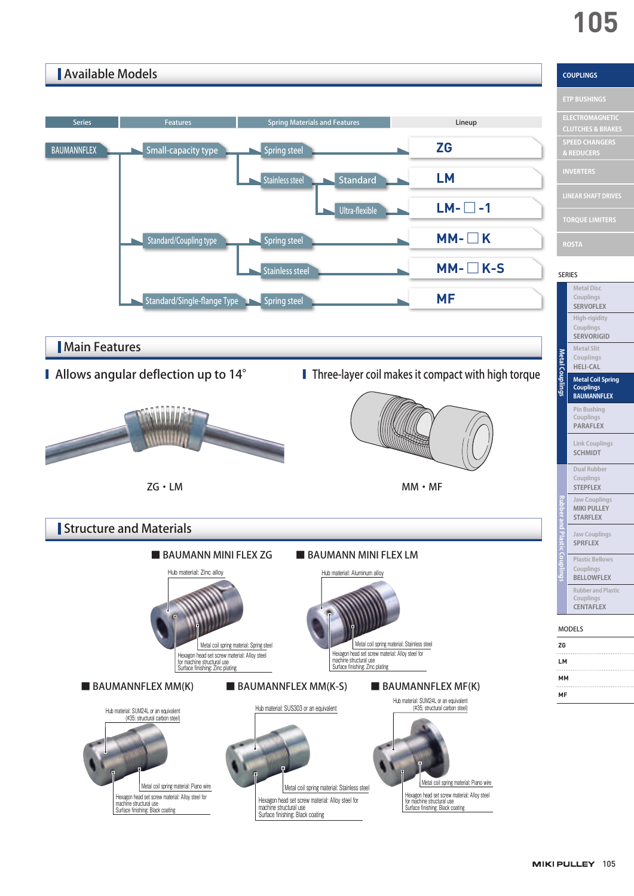# **105**

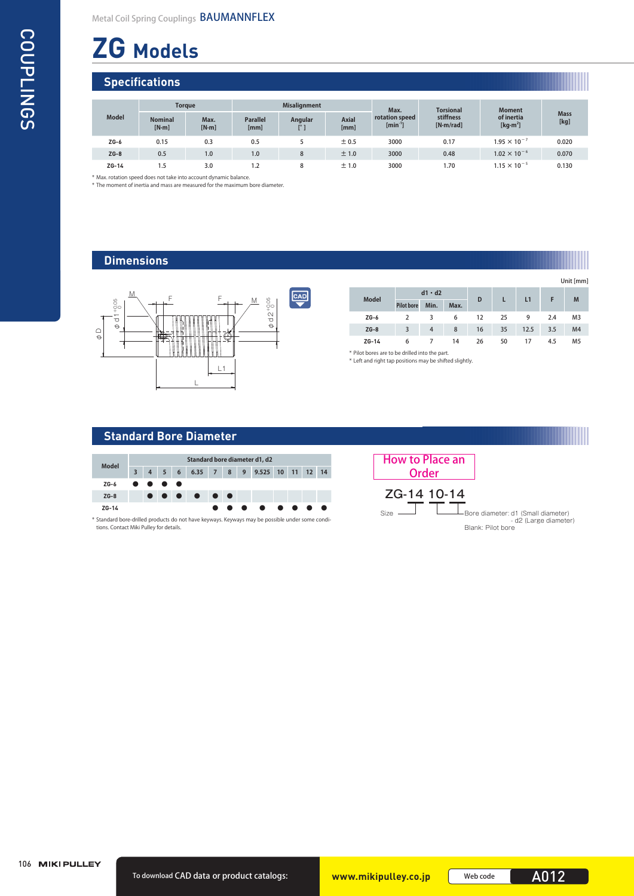# **ZG Models**

# **Specifications**

|              | <b>Torque</b>           |               | <b>Misalignment</b>     |         |                      | Max.                           | <b>Torsional</b>       | <b>Moment</b>             |                     |  |
|--------------|-------------------------|---------------|-------------------------|---------|----------------------|--------------------------------|------------------------|---------------------------|---------------------|--|
| <b>Model</b> | <b>Nominal</b><br>[N·m] | Max.<br>[N·m] | <b>Parallel</b><br>[mm] | Angular | <b>Axial</b><br>[mm] | rotation speed<br>$[min^{-1}]$ | stiffness<br>[N·m/rad] | of inertia<br>[ $kg·m2$ ] | <b>Mass</b><br>[kg] |  |
| $ZG-6$       | 0.15                    | 0.3           | 0.5                     |         | ± 0.5                | 3000                           | 0.17                   | $1.95 \times 10^{-7}$     | 0.020               |  |
| $ZG-8$       | 0.5                     | 1.0           | 1.0                     | 8       | ±1.0                 | 3000                           | 0.48                   | $1.02 \times 10^{-6}$     | 0.070               |  |
| $ZG-14$      | 1.5                     | 3.0           | 1.2                     | 8       | ±1.0                 | 3000                           | 1.70                   | $1.15 \times 10^{-5}$     | 0.130               |  |

\* Max. rotation speed does not take into account dynamic balance.

\* The moment of inertia and mass are measured for the maximum bore diameter.

# **Dimensions**



|              |                   |                |      |    |    |      |     | Unit [mm       |
|--------------|-------------------|----------------|------|----|----|------|-----|----------------|
| <b>Model</b> |                   | $d1 \cdot d2$  |      | D  | L  | L1   | F   | M              |
|              | <b>Pilot bore</b> | Min.           | Max. |    |    |      |     |                |
| $ZG-6$       |                   | 3              | 6    | 12 | 25 | 9    | 2.4 | M <sub>3</sub> |
| $ZG-8$       | 3                 | $\overline{4}$ | 8    | 16 | 35 | 12.5 | 3.5 | M <sub>4</sub> |
| $ZG-14$      | 6                 |                | 14   | 26 | 50 | 17   | 4.5 | M <sub>5</sub> |

\* Pilot bores are to be drilled into the part. \* Left and right tap positions may be shifted slightly.

# **Standard Bore Diameter**

| <b>Model</b> | Standard bore diameter d1, d2 |  |                                                                                               |  |   |  |  |  |                                 |  |  |  |           |  |
|--------------|-------------------------------|--|-----------------------------------------------------------------------------------------------|--|---|--|--|--|---------------------------------|--|--|--|-----------|--|
|              |                               |  |                                                                                               |  |   |  |  |  | 4 5 6 6.35 7 8 9 9.525 10 11 12 |  |  |  | 14        |  |
| $ZG-6$       |                               |  | $\bullet\hspace{0.4mm}\bullet\hspace{0.4mm}\bullet\hspace{0.4mm}\bullet\hspace{0.4mm}\bullet$ |  |   |  |  |  |                                 |  |  |  |           |  |
| $ZG-8$       |                               |  |                                                                                               |  | . |  |  |  |                                 |  |  |  |           |  |
| ZG-14        |                               |  |                                                                                               |  |   |  |  |  | .                               |  |  |  | $\bullet$ |  |
|              |                               |  |                                                                                               |  |   |  |  |  |                                 |  |  |  |           |  |

\* Standard bore-drilled products do not have keyways. Keyways may be possible under some conditions. Contact Miki Pulley for details.

| <b>How to Place an</b><br>Order |                                                                                  |
|---------------------------------|----------------------------------------------------------------------------------|
| ZG-14 10-14                     |                                                                                  |
| <b>Size</b>                     | Bore diameter: d1 (Small diameter)<br>- d2 (Large diameter)<br>Blank: Pilot bore |

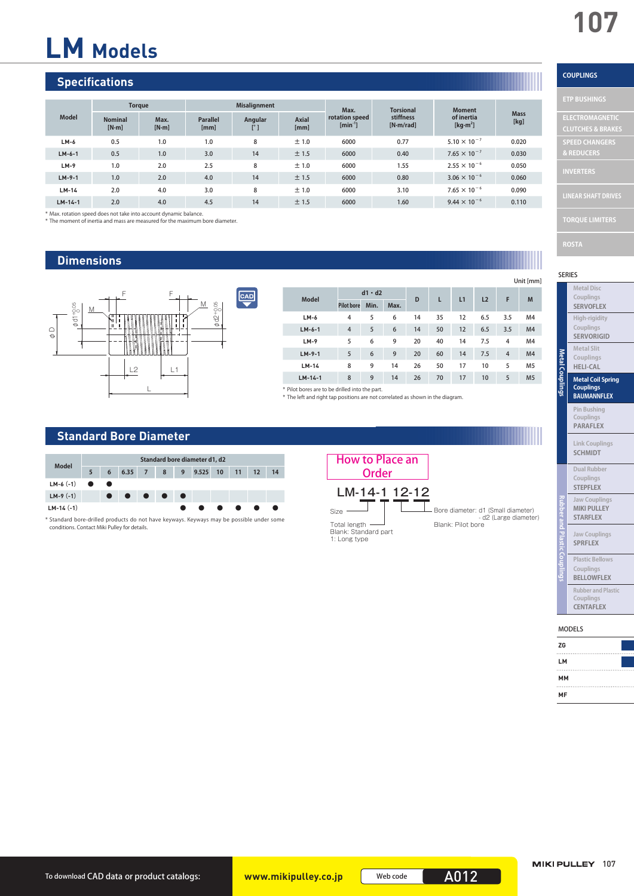**COUPLINGS**

**ELECTROMAGNETIC** 

**SPEED CHANGERS & REDUCERS**

# **LM Models**

# **Specifications**

|              | <b>Torque</b>             |               |                         | <b>Misalignment</b> |                      | Max.                           | <b>Torsional</b>       | <b>Moment</b>             |                     |
|--------------|---------------------------|---------------|-------------------------|---------------------|----------------------|--------------------------------|------------------------|---------------------------|---------------------|
| <b>Model</b> | <b>Nominal</b><br>$[N-m]$ | Max.<br>[N·m] | <b>Parallel</b><br>[mm] | Angular             | <b>Axial</b><br>[mm] | rotation speed<br>$[min^{-1}]$ | stiffness<br>[N·m/rad] | of inertia<br>[ $kg·m2$ ] | <b>Mass</b><br>[kg] |
| $LM-6$       | 0.5                       | 1.0           | 1.0                     | 8                   | ±1.0                 | 6000                           | 0.77                   | $5.10 \times 10^{-7}$     | 0.020               |
| $LM-6-1$     | 0.5                       | 1.0           | 3.0                     | 14                  | ±1.5                 | 6000                           | 0.40                   | $7.65 \times 10^{-7}$     | 0.030               |
| $LM-9$       | 1.0                       | 2.0           | 2.5                     | 8                   | ±1.0                 | 6000                           | 1.55                   | $2.55 \times 10^{-6}$     | 0.050               |
| $LM-9-1$     | 1.0                       | 2.0           | 4.0                     | 14                  | ±1.5                 | 6000                           | 0.80                   | $3.06 \times 10^{-6}$     | 0.060               |
| $LM-14$      | 2.0                       | 4.0           | 3.0                     | 8                   | ±1.0                 | 6000                           | 3.10                   | $7.65 \times 10^{-6}$     | 0.090               |
| $LM-14-1$    | 2.0                       | 4.0           | 4.5                     | 14                  | ±1.5                 | 6000                           | 1.60                   | $9.44 \times 10^{-6}$     | 0.110               |

\* Max. rotation speed does not take into account dynamic balance. \* The moment of inertia and mass are measured for the maximum bore diameter.

### **Dimensions**



| <b>Model</b>                                  |                   | $d1 \cdot d2$ |      | D  | L  | L1 | L <sub>2</sub> | F              | M              |
|-----------------------------------------------|-------------------|---------------|------|----|----|----|----------------|----------------|----------------|
|                                               | <b>Pilot bore</b> | Min.          | Max. |    |    |    |                |                |                |
| $LM-6$                                        | 4                 | 5             | 6    | 14 | 35 | 12 | 6.5            | 3.5            | M <sub>4</sub> |
| $LM-6-1$                                      | $\overline{4}$    | 5             | 6    | 14 | 50 | 12 | 6.5            | 3.5            | M <sub>4</sub> |
| $LM-9$                                        | 5                 | 6             | 9    | 20 | 40 | 14 | 7.5            | $\overline{4}$ | M <sub>4</sub> |
| $LM-9-1$                                      | 5                 | 6             | 9    | 20 | 60 | 14 | 7.5            | $\overline{4}$ | M <sub>4</sub> |
| $LM-14$                                       | 8                 | 9             | 14   | 26 | 50 | 17 | 10             | 5              | M <sub>5</sub> |
| $LM-14-1$                                     | 8                 | 9             | 14   | 26 | 70 | 17 | 10             | 5              | M <sub>5</sub> |
| * Pilot hores are to be drilled into the part |                   |               |      |    |    |    |                |                |                |

\* Pilot bores are to be drilled into the part. \* The left and right tap positions are not correlated as shown in the diagram.

### **Standard Bore Diameter**



\* Standard bore-drilled products do not have keyways. Keyways may be possible under some conditions. Contact Miki Pulley for details.



### Unit [mm]

SERIES

| <b>Metal Disc</b><br>Couplings<br><b>SERVOFLEX</b>                 |
|--------------------------------------------------------------------|
| High-rigidity<br>Couplings<br><b>SERVORIGID</b>                    |
| <b>Metal Slit</b><br>Couplings<br><b>HELI-CAL</b>                  |
| <b>Metal Coil Spring</b><br><b>Couplings</b><br><b>BAUMANNFLEX</b> |
| <b>Pin Bushing</b><br>Couplings<br><b>PARAFLEX</b>                 |
| <b>Link Couplings</b><br><b>SCHMIDT</b>                            |
| <b>Dual Rubber</b><br>Couplings<br><b>STEPFLEX</b>                 |
| <b>Jaw Couplings</b><br><b>MIKI PULLEY</b><br><b>STARFLEX</b>      |
| <b>Jaw Couplings</b><br><b>SPRFLEX</b>                             |
| <b>Plastic Bellows</b><br>Couplings<br><b>BELLOWFLEX</b>           |
| <b>Rubber and Plastic</b><br>Couplings<br><b>CENTAFLEX</b>         |

#### MODELS

| ZG |  |
|----|--|
|    |  |
| LM |  |
|    |  |
| MM |  |
| MF |  |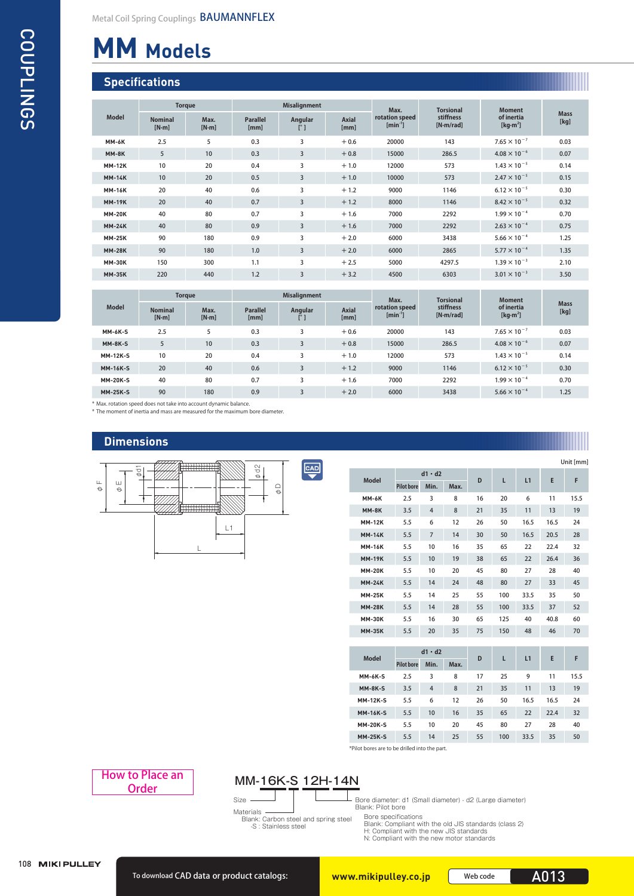# **MM Models**

# **Specifications**

|               | <b>Torque</b>             |               |                         | <b>Misalignment</b>     |                      | Max.                        | <b>Torsional</b>       | <b>Moment</b>             |                     |
|---------------|---------------------------|---------------|-------------------------|-------------------------|----------------------|-----------------------------|------------------------|---------------------------|---------------------|
| <b>Model</b>  | <b>Nominal</b><br>$[N-m]$ | Max.<br>[N·m] | <b>Parallel</b><br>[mm] | Angular<br>$[^{\circ}]$ | <b>Axial</b><br>[mm] | rotation speed<br>$[min-1]$ | stiffness<br>[N·m/rad] | of inertia<br>[ $kg·m2$ ] | <b>Mass</b><br>[kg] |
| <b>MM-6K</b>  | 2.5                       | 5             | 0.3                     | 3                       | $+0.6$               | 20000                       | 143                    | $7.65 \times 10^{-7}$     | 0.03                |
| MM-8K         | 5                         | 10            | 0.3                     | 3                       | $+0.8$               | 15000                       | 286.5                  | $4.08 \times 10^{-6}$     | 0.07                |
| <b>MM-12K</b> | 10                        | 20            | 0.4                     | 3                       | $+1.0$               | 12000                       | 573                    | $1.43 \times 10^{-5}$     | 0.14                |
| <b>MM-14K</b> | 10                        | 20            | 0.5                     | 3                       | $+1.0$               | 10000                       | 573                    | $2.47 \times 10^{-5}$     | 0.15                |
| <b>MM-16K</b> | 20                        | 40            | 0.6                     | 3                       | $+1.2$               | 9000                        | 1146                   | $6.12 \times 10^{-5}$     | 0.30                |
| <b>MM-19K</b> | 20                        | 40            | 0.7                     | 3                       | $+1.2$               | 8000                        | 1146                   | $8.42 \times 10^{-5}$     | 0.32                |
| <b>MM-20K</b> | 40                        | 80            | 0.7                     | $\overline{\mathbf{3}}$ | $+1.6$               | 7000                        | 2292                   | $1.99 \times 10^{-4}$     | 0.70                |
| <b>MM-24K</b> | 40                        | 80            | 0.9                     | 3                       | $+1.6$               | 7000                        | 2292                   | $2.63 \times 10^{-4}$     | 0.75                |
| <b>MM-25K</b> | 90                        | 180           | 0.9                     | 3                       | $+2.0$               | 6000                        | 3438                   | $5.66 \times 10^{-4}$     | 1.25                |
| <b>MM-28K</b> | 90                        | 180           | 1.0                     | 3                       | $+2.0$               | 6000                        | 2865                   | $5.77 \times 10^{-4}$     | 1.35                |
| <b>MM-30K</b> | 150                       | 300           | 1.1                     | 3                       | $+2.5$               | 5000                        | 4297.5                 | $1.39 \times 10^{-3}$     | 2.10                |
| <b>MM-35K</b> | 220                       | 440           | 1.2                     | 3                       | $+3.2$               | 4500                        | 6303                   | $3.01 \times 10^{-3}$     | 3.50                |

|                 | <b>Torque</b>             |               |                         | <b>Misalignment</b>            |                      | Max.                           | <b>Torsional</b>       | <b>Moment</b>             |                     |
|-----------------|---------------------------|---------------|-------------------------|--------------------------------|----------------------|--------------------------------|------------------------|---------------------------|---------------------|
| <b>Model</b>    | <b>Nominal</b><br>$[N-m]$ | Max.<br>[N·m] | <b>Parallel</b><br>[mm] | <b>Angular</b><br>$[^{\circ}]$ | <b>Axial</b><br>[mm] | rotation speed<br>$[min^{-1}]$ | stiffness<br>[N·m/rad] | of inertia<br>[ $kg·m2$ ] | <b>Mass</b><br>[kg] |
| <b>MM-6K-S</b>  | 2.5                       |               | 0.3                     | 3                              | $+0.6$               | 20000                          | 143                    | $7.65 \times 10^{-7}$     | 0.03                |
| <b>MM-8K-S</b>  | 5                         | 10            | 0.3                     | $\overline{3}$                 | $+0.8$               | 15000                          | 286.5                  | $4.08 \times 10^{-6}$     | 0.07                |
| <b>MM-12K-S</b> | 10                        | 20            | 0.4                     | 3                              | $+1.0$               | 12000                          | 573                    | $1.43 \times 10^{-5}$     | 0.14                |
| <b>MM-16K-S</b> | 20                        | 40            | 0.6                     | 3                              | $+1.2$               | 9000                           | 1146                   | $6.12 \times 10^{-5}$     | 0.30                |
| <b>MM-20K-S</b> | 40                        | 80            | 0.7                     | 3                              | $+1.6$               | 7000                           | 2292                   | $1.99 \times 10^{-4}$     | 0.70                |
| <b>MM-25K-S</b> | 90                        | 180           | 0.9                     | $\overline{3}$                 | $+2.0$               | 6000                           | 3438                   | $5.66 \times 10^{-4}$     | 1.25                |

\* Max. rotation speed does not take into account dynamic balance. \* The moment of inertia and mass are measured for the maximum bore diameter.

### **Dimensions**



|               |                   |                |      |    |     |      |      | Unit [mm] |
|---------------|-------------------|----------------|------|----|-----|------|------|-----------|
| <b>Model</b>  |                   | $d1 \cdot d2$  |      | D  | L   | L1   | E    | F         |
|               | <b>Pilot bore</b> | Min.           | Max. |    |     |      |      |           |
| <b>MM-6K</b>  | 2.5               | 3              | 8    | 16 | 20  | 6    | 11   | 15.5      |
| MM-8K         | 3.5               | $\overline{4}$ | 8    | 21 | 35  | 11   | 13   | 19        |
| <b>MM-12K</b> | 5.5               | 6              | 12   | 26 | 50  | 16.5 | 16.5 | 24        |
| <b>MM-14K</b> | 5.5               | $\overline{7}$ | 14   | 30 | 50  | 16.5 | 20.5 | 28        |
| <b>MM-16K</b> | 5.5               | 10             | 16   | 35 | 65  | 22   | 22.4 | 32        |
| <b>MM-19K</b> | 5.5               | 10             | 19   | 38 | 65  | 22   | 26.4 | 36        |
| <b>MM-20K</b> | 5.5               | 10             | 20   | 45 | 80  | 27   | 28   | 40        |
| <b>MM-24K</b> | 5.5               | 14             | 24   | 48 | 80  | 27   | 33   | 45        |
| <b>MM-25K</b> | 5.5               | 14             | 25   | 55 | 100 | 33.5 | 35   | 50        |
| <b>MM-28K</b> | 5.5               | 14             | 28   | 55 | 100 | 33.5 | 37   | 52        |
| <b>MM-30K</b> | 5.5               | 16             | 30   | 65 | 125 | 40   | 40.8 | 60        |
| <b>MM-35K</b> | 5.5               | 20             | 35   | 75 | 150 | 48   | 46   | 70        |
|               |                   |                |      |    |     |      |      |           |
|               |                   | $d1 \cdot d2$  |      |    |     |      |      |           |

|  | <b>Model</b>    | $d1 \cdot d2$     |                |      | D  |     | L1   | E    | F    |  |
|--|-----------------|-------------------|----------------|------|----|-----|------|------|------|--|
|  |                 | <b>Pilot bore</b> | Min.           | Max. |    |     |      |      |      |  |
|  | <b>MM-6K-S</b>  | 2.5               | 3              | 8    | 17 | 25  | 9    | 11   | 15.5 |  |
|  | <b>MM-8K-S</b>  | 3.5               | $\overline{4}$ | 8    | 21 | 35  | 11   | 13   | 19   |  |
|  | <b>MM-12K-S</b> | 5.5               | 6              | 12   | 26 | 50  | 16.5 | 16.5 | 24   |  |
|  | <b>MM-16K-S</b> | 5.5               | 10             | 16   | 35 | 65  | 22   | 22.4 | 32   |  |
|  | <b>MM-20K-S</b> | 5.5               | 10             | 20   | 45 | 80  | 27   | 28   | 40   |  |
|  | <b>MM-25K-S</b> | 5.5               | 14             | 25   | 55 | 100 | 33.5 | 35   | 50   |  |

\*Pilot bores are to be drilled into the part.



Size

Materials Blank: Carbon steel and spring steel -S : Stainless steel

Bore diameter: d1 (Small diameter) - d2 (Large diameter) Blank: Pilot bore

Bore specifications Blank: Compliant with the old JIS standards (class 2) H: Compliant with the new JIS standards N: Compliant with the new motor standards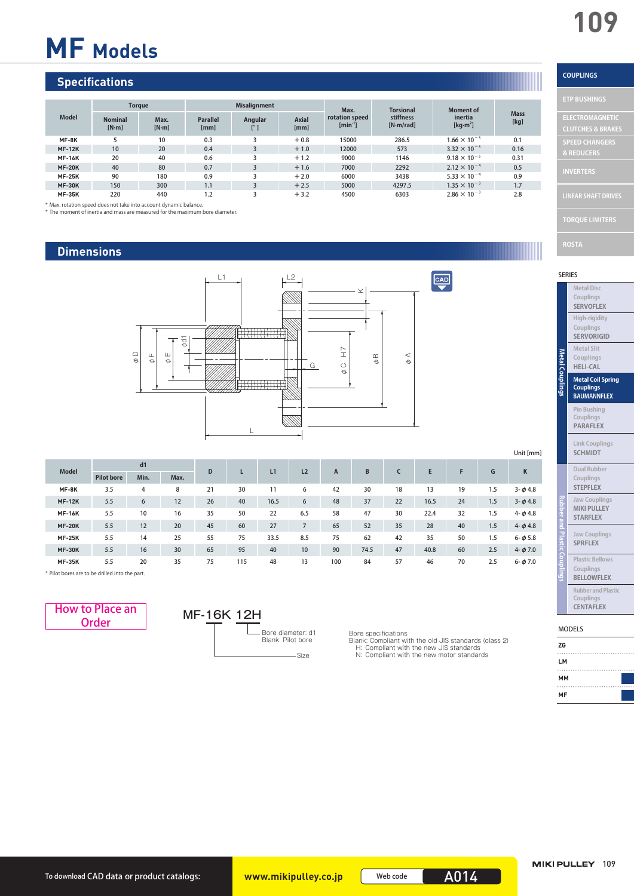# **MF Models**

# **Specifications**

|               | <b>Torque</b>             |               |                         | <b>Misalignment</b> |                      | Max.                           | <b>Torsional</b>       | <b>Moment of</b>       | <b>Mass</b> |
|---------------|---------------------------|---------------|-------------------------|---------------------|----------------------|--------------------------------|------------------------|------------------------|-------------|
| <b>Model</b>  | <b>Nominal</b><br>$[N-m]$ | Max.<br>[N·m] | <b>Parallel</b><br>[mm] | Angular             | <b>Axial</b><br>[mm] | rotation speed<br>$[min^{-1}]$ | stiffness<br>[N·m/rad] | inertia<br>[ $kg·m2$ ] | [kg]        |
| MF-8K         |                           | 10            | 0.3                     |                     | $+0.8$               | 15000                          | 286.5                  | $1.66 \times 10^{-5}$  | 0.1         |
| <b>MF-12K</b> | 10                        | 20            | 0.4                     |                     | $+1.0$               | 12000                          | 573                    | $3.32 \times 10^{-5}$  | 0.16        |
| <b>MF-16K</b> | 20                        | 40            | 0.6                     |                     | $+1.2$               | 9000                           | 1146                   | $9.18 \times 10^{-5}$  | 0.31        |
| <b>MF-20K</b> | 40                        | 80            | 0.7                     |                     | $+1.6$               | 7000                           | 2292                   | $2.12 \times 10^{-4}$  | 0.5         |
| <b>MF-25K</b> | 90                        | 180           | 0.9                     |                     | $+2.0$               | 6000                           | 3438                   | $5.33 \times 10^{-4}$  | 0.9         |
| <b>MF-30K</b> | 150                       | 300           | 1.1                     |                     | $+2.5$               | 5000                           | 4297.5                 | $1.35 \times 10^{-3}$  | 1.7         |
| <b>MF-35K</b> | 220                       | 440           | 1.2                     |                     | $+3.2$               | 4500                           | 6303                   | $2.86 \times 10^{-3}$  | 2.8         |

\* Max. rotation speed does not take into account dynamic balance.

\* The moment of inertia and mass are measured for the maximum bore diameter.

# **Dimensions**



|               |                   |      |      |    |     |      |                |     |      |    |      |    |     | Unit [mm]      |
|---------------|-------------------|------|------|----|-----|------|----------------|-----|------|----|------|----|-----|----------------|
| <b>Model</b>  | d1                |      | D    |    | L1  | L2   | $\overline{A}$ | B   |      | E  | F    | G  | К   |                |
|               | <b>Pilot bore</b> | Min. | Max. |    |     |      |                |     |      |    |      |    |     |                |
| MF-8K         | 3.5               | 4    | 8    | 21 | 30  | 11   | 6              | 42  | 30   | 18 | 13   | 19 | 1.5 | $3 - \phi 4.8$ |
| <b>MF-12K</b> | 5.5               | 6    | 12   | 26 | 40  | 16.5 | 6              | 48  | 37   | 22 | 16.5 | 24 | 1.5 | $3 - \phi 4.8$ |
| <b>MF-16K</b> | 5.5               | 10   | 16   | 35 | 50  | 22   | 6.5            | 58  | 47   | 30 | 22.4 | 32 | 1.5 | $4 - \phi 4.8$ |
| <b>MF-20K</b> | 5.5               | 12   | 20   | 45 | 60  | 27   | $\overline{7}$ | 65  | 52   | 35 | 28   | 40 | 1.5 | $4 - \phi 4.8$ |
| <b>MF-25K</b> | 5.5               | 14   | 25   | 55 | 75  | 33.5 | 8.5            | 75  | 62   | 42 | 35   | 50 | 1.5 | $6 - \phi 5.8$ |
| <b>MF-30K</b> | 5.5               | 16   | 30   | 65 | 95  | 40   | 10             | 90  | 74.5 | 47 | 40.8 | 60 | 2.5 | $4 - \phi$ 7.0 |
| <b>MF-35K</b> | 5.5               | 20   | 35   | 75 | 115 | 48   | 13             | 100 | 84   | 57 | 46   | 70 | 2.5 | $6 - \phi$ 7.0 |

Size

\* Pilot bores are to be drilled into the part.

How to Place an MF-16K 12H Order

# - Bore diameter: d1 Blank: Pilot bore

Bore specifications Blank: Compliant with the old JIS standards (class 2) H: Compliant with the new JIS standards N: Compliant with the new motor standards

# **COUPLINGS**

| <b>ETP BUSHINGS</b>          |
|------------------------------|
| <b>ELECTROMAGNETIC</b>       |
| <b>CLUTCHES &amp; BRAKES</b> |
| <b>SPEED CHANGERS</b>        |
| & REDUCERS                   |
| <b>INVERTERS</b>             |
| <b>LINEAR SHAFT DRIVES</b>   |
| <b>TOROUE LIMITERS</b>       |
|                              |

SERIES

| <b>Metal Disc</b><br>Couplings<br><b>SERVOFLEX</b>                 |
|--------------------------------------------------------------------|
| High-rigidity<br>Couplings<br><b>SERVORIGID</b>                    |
| <b>Metal Slit</b><br>Couplings<br><b>HELI-CAL</b>                  |
| <b>Metal Coil Spring</b><br><b>Couplings</b><br><b>BAUMANNFLEX</b> |
| Pin Bushing<br>Couplings<br><b>PARAFLEX</b>                        |
| <b>Link Couplings</b><br><b>SCHMIDT</b>                            |
| <b>Dual Rubber</b><br>Couplings<br><b>STEPFLEX</b>                 |
| <b>Jaw Couplings</b><br><b>MIKI PULLEY</b><br><b>STARFLEX</b>      |
| <b>Jaw Couplings</b><br><b>SPRFLEX</b>                             |
| <b>Plastic Bellows</b><br>Couplings<br><b>BELLOWFLEX</b>           |
| <b>Rubber and Plastic</b><br>Couplings<br><b>CENTAFLEX</b>         |

#### MODELS

| ZG |  |
|----|--|
| LM |  |
| MM |  |
| MF |  |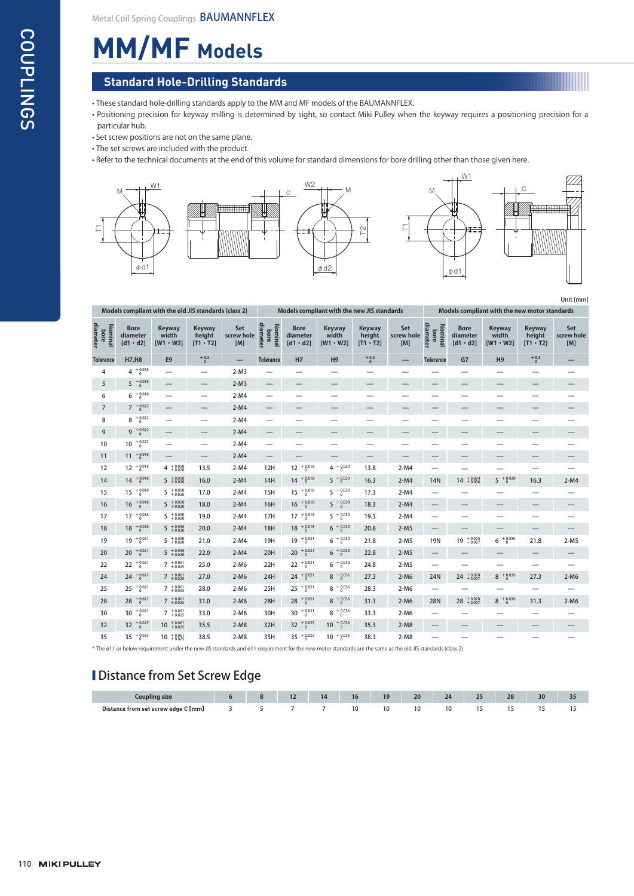# **MM/MF Models**

### **Standard Hole-Drilling Standards**

• These standard hole-drilling standards apply to the MM and MF models of the BAUMANNFLEX.

- Positioning precision for keyway milling is determined by sight, so contact Miki Pulley when the keyway requires a positioning precision for a particular hub.
- Set screw positions are not on the same plane.
- The set screws are included with the product.
- Refer to the technical documents at the end of this volume for standard dimensions for bore drilling other than those given here.



Unit [mm]

|                             |                                            | Models compliant with the old JIS standards (class 2) |                                            |                          | Models compliant with the new JIS standards |                                                    |                                    |                                            |                          | Models compliant with the new motor standards |                                            |                                           |                                     |                          |
|-----------------------------|--------------------------------------------|-------------------------------------------------------|--------------------------------------------|--------------------------|---------------------------------------------|----------------------------------------------------|------------------------------------|--------------------------------------------|--------------------------|-----------------------------------------------|--------------------------------------------|-------------------------------------------|-------------------------------------|--------------------------|
| diameter<br>Nominal<br>bore | <b>Bore</b><br>diameter<br>$[d1 \cdot d2]$ | <b>Keyway</b><br>width<br>$IW1 \cdot W21$             | <b>Keyway</b><br>height<br>$[T1 \cdot T2]$ | Set<br>screw hole<br>[M] | diameter<br>Nominal<br>bore                 | <b>Bore</b><br>diameter<br>$[d1 \cdot d2]$         | Keyway<br>width<br>$IW1 \cdot W21$ | <b>Keyway</b><br>height<br>$[T1 \cdot T2]$ | Set<br>screw hole<br>[M] | diameter<br><b>Nominal</b><br>bore            | <b>Bore</b><br>diameter<br>$[d1 \cdot d2]$ | <b>Keyway</b><br>width<br>$IW1 \cdot W21$ | Keyway<br>height<br>$[T1 \cdot T2]$ | Set<br>screw hole<br>[M] |
| <b>Tolerance</b>            | <b>H7,H8</b>                               | E <sub>9</sub>                                        | $^{+0.3}_{0}$                              |                          | <b>Tolerance</b>                            | <b>H7</b>                                          | H <sub>9</sub>                     | $^{+0.3}_{0}$                              |                          | <b>Tolerance</b>                              | G7                                         | H <sub>9</sub>                            | $^{+0.3}_{0}$                       |                          |
| 4                           | $4^{+0.018}_{0}$                           | $\overline{\phantom{0}}$                              | $\overline{\phantom{0}}$                   | $2-M3$                   |                                             | —                                                  | $\overline{\phantom{0}}$           |                                            |                          |                                               | --                                         | $\overline{\phantom{0}}$                  |                                     |                          |
| 5                           | $5^{+0.018}_{0}$                           |                                                       | $\qquad \qquad -$                          | $2-M3$                   |                                             |                                                    |                                    |                                            |                          |                                               |                                            |                                           |                                     |                          |
| 6                           | $^{+0.018}_{0}$<br>6                       | $\overline{\phantom{0}}$                              | $\overline{\phantom{m}}$                   | $2-M4$                   |                                             |                                                    |                                    | $\overline{\phantom{0}}$                   |                          |                                               |                                            | --                                        |                                     |                          |
| $\overline{7}$              | $7^{+0.022}_{0}$                           |                                                       |                                            | $2-M4$                   |                                             |                                                    |                                    |                                            |                          |                                               |                                            |                                           |                                     |                          |
| 8                           | $8^{+0.022}_{0}$                           | $\overline{\phantom{0}}$                              | $\overline{\phantom{0}}$                   | $2-M4$                   | $\overline{\phantom{0}}$                    |                                                    |                                    |                                            |                          |                                               |                                            | $\overline{\phantom{0}}$                  |                                     |                          |
| 9                           | $9 + 0.022$                                |                                                       | $\qquad \qquad -$                          | $2-M4$                   | $\qquad \qquad$                             |                                                    |                                    |                                            |                          |                                               |                                            |                                           |                                     |                          |
| 10                          | $+0.022$<br>10                             | $\overline{\phantom{0}}$                              | $\qquad \qquad -$                          | $2-M4$                   | $\overline{\phantom{0}}$                    | $\overline{\phantom{0}}$                           | $\overline{\phantom{0}}$           |                                            |                          |                                               |                                            |                                           |                                     |                          |
| 11                          | $11 + 0.018$                               |                                                       | $\overline{\phantom{m}}$                   | $2-M4$                   | $\overline{\phantom{m}}$                    |                                                    | $\overline{\phantom{0}}$           | $\qquad \qquad -$                          |                          |                                               |                                            |                                           |                                     | —                        |
| 12                          | $12^{+0.018}_{0}$                          | $4 + 0.050$<br>+ 0.020                                | 13.5                                       | $2-M4$                   | 12H                                         | $12^{+0.018}_{0}$                                  | $4^{+0.030}_{0}$                   | 13.8                                       | $2-M4$                   | $\overline{\phantom{0}}$                      |                                            | $\overline{\phantom{0}}$                  |                                     |                          |
| 14                          | $+0.018$<br>14                             | $5^{+0.050}_{+0.020}$                                 | 16.0                                       | $2-M4$                   | 14H                                         | $^{\mathrm {+ \, 0.018}}_{\mathrm {- \, 0}}$<br>14 | $5^{+0.030}_{0}$                   | 16.3                                       | $2-M4$                   | 14N                                           | $14^{+0.024}_{+0.006}$                     | $5$ $\,^{+\, 0.030}_{-\, 0}$              | 16.3                                | $2-M4$                   |
| 15                          | $+0.018$<br>15                             | $5^{+0.050}_{+0.020}$                                 | 17.0                                       | $2-M4$                   | 15H                                         | $+0.018$<br>15                                     | $5^{+0.030}_{0}$                   | 17.3                                       | $2-M4$                   | $\qquad \qquad -$                             |                                            |                                           | $\overline{\phantom{0}}$            |                          |
| 16                          | $+0.018$<br>16                             | $5 + 0.050$<br>+ 0.020                                | 18.0                                       | $2-M4$                   | 16H                                         | $+0.018$<br>16                                     | $5^{+0.030}_{0}$                   | 18.3                                       | $2-M4$                   |                                               |                                            |                                           |                                     |                          |
| 17                          | $17^{+0.018}_{0}$                          | $5 + 0.050 + 0.020$                                   | 19.0                                       | $2-M4$                   | 17H                                         | $17^{+0.018}_{0}$                                  | $5^{+0.030}_{0}$                   | 19.3                                       | $2-M4$                   |                                               |                                            |                                           |                                     | —                        |
| 18                          | $18^{+0.018}_{0}$                          | $5^{+0.050}_{+0.020}$                                 | 20.0                                       | $2-M4$                   | <b>18H</b>                                  | $18^{+0.018}_{0}$                                  | $6^{+0.030}_{0}$                   | 20.8                                       | $2-M5$                   | $\qquad \qquad -$                             |                                            |                                           |                                     |                          |
| 19                          | $19^{+0.021}_{0}$                          | $5 + 0.050 + 0.020$                                   | 21.0                                       | $2-M4$                   | 19H                                         | $19^{+0.021}_{0}$                                  | $6^{+0.030}_{0}$                   | 21.8                                       | $2-M5$                   | <b>19N</b>                                    | $19^{+0.028}_{+0.007}$                     | $6^{+0.030}_{0}$                          | 21.8                                | $2-M5$                   |
| 20                          | $+0.021$<br>20                             | $5 + 0.050 + 0.020$                                   | 22.0                                       | $2-M4$                   | 20H                                         | $+0.021$<br>20                                     | $6^{+0.030}_{0}$                   | 22.8                                       | $2-M5$                   |                                               |                                            |                                           |                                     | —                        |
| 22                          | $22 + 0.021$                               | $7^{+0.061}_{+0.025}$                                 | 25.0                                       | $2-M6$                   | 22H                                         | $22 + 0.021$                                       | $6^{+0.030}_{0}$                   | 24.8                                       | $2-M5$                   | $\qquad \qquad -$                             |                                            |                                           |                                     | $\overline{\phantom{0}}$ |
| 24                          | $24 + 0.021$                               | $7^{+0.061}_{+0.025}$                                 | 27.0                                       | $2-M6$                   | 24H                                         | $24 + 0.021$                                       | $8^{+0.036}_{0}$                   | 27.3                                       | $2-M6$                   | 24N                                           | $24^{+0.028}_{+0.007}$                     | $8^{+0.036}_{0}$                          | 27.3                                | $2-M6$                   |
| 25                          | $+0.021$<br>25                             | $7^{+0.061}_{+0.025}$                                 | 28.0                                       | $2-M6$                   | 25H                                         | $25^{+0.021}_{0}$                                  | $8^{+0.036}_{0}$                   | 28.3                                       | $2-M6$                   |                                               |                                            |                                           | $\overline{\phantom{0}}$            |                          |
| 28                          | $28 + 0.021$                               | $7^{+0.061}_{+0.025}$                                 | 31.0                                       | $2-M6$                   | 28H                                         | $28 + 0.021$                                       | $8^{+0.036}_{0}$                   | 31.3                                       | $2-M6$                   | <b>28N</b>                                    | $28 + 0.028 + 0.007$                       | $8 + 0.036$                               | 31.3                                | $2-M6$                   |
| 30                          | $30^{+0.021}_{0}$                          | $7 + 0.061$<br>+ 0.025                                | 33.0                                       | $2-M6$                   | 30H                                         | $30^{+0.021}_{0}$                                  | $8^{+0.036}_{0}$                   | 33.3                                       | $2-M6$                   | $\qquad \qquad -$                             |                                            | –                                         | $\overline{\phantom{m}}$            |                          |
| 32                          | $32~^{+0.025}_{-0}$                        | $10^{+0.061}_{+0.025}$                                | 35.5                                       | $2-M8$                   | 32H                                         | 32 $+0.025$                                        | $10^{+0.036}_{0}$                  | 35.3                                       | $2-M8$                   |                                               |                                            |                                           |                                     |                          |
| 35                          | $+0.025$<br>35                             | $10^{+0.061}_{+0.025}$                                | 38.5                                       | $2-M8$                   | 35H                                         | 35 $^{+0.025}_{0}$                                 | $10^{+0.036}_{0}$                  | 38.3                                       | $2-M8$                   |                                               |                                            |                                           |                                     |                          |
|                             |                                            |                                                       |                                            |                          |                                             |                                                    |                                    |                                            |                          |                                               |                                            |                                           |                                     |                          |

\* The ø11 or below requirement under the new JIS standards and ø11 requirement for the new motor standards are the same as the old JIS standards (class 2)

# **I** Distance from Set Screw Edge

| ны д                                |  | $\overline{a}$<br>. . | 14<br>. . | 19 | 20 | 24 | 25<br>$\sim$ | 28 | 30 | $\overline{ }$<br>-- |
|-------------------------------------|--|-----------------------|-----------|----|----|----|--------------|----|----|----------------------|
| Distance from set screw edge C [mm] |  |                       |           | 10 |    |    |              |    |    |                      |